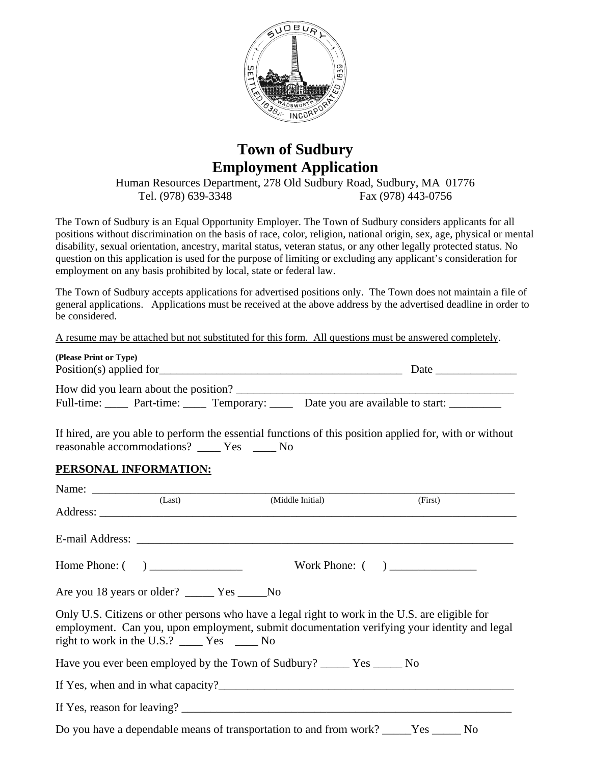

## **Town of Sudbury Employment Application**

Human Resources Department, 278 Old Sudbury Road, Sudbury, MA 01776 Tel. (978) 639-3348 Fax (978) 443-0756

The Town of Sudbury is an Equal Opportunity Employer. The Town of Sudbury considers applicants for all positions without discrimination on the basis of race, color, religion, national origin, sex, age, physical or mental disability, sexual orientation, ancestry, marital status, veteran status, or any other legally protected status. No question on this application is used for the purpose of limiting or excluding any applicant's consideration for employment on any basis prohibited by local, state or federal law.

The Town of Sudbury accepts applications for advertised positions only. The Town does not maintain a file of general applications. Applications must be received at the above address by the advertised deadline in order to be considered.

A resume may be attached but not substituted for this form. All questions must be answered completely.

| (Please Print or Type)  |                                       |                       |                                  |  |  |
|-------------------------|---------------------------------------|-----------------------|----------------------------------|--|--|
| Position(s) applied for |                                       |                       | Date                             |  |  |
|                         | How did you learn about the position? |                       |                                  |  |  |
| Full-time:              |                                       | Part-time: Temporary: | Date you are available to start: |  |  |

If hired, are you able to perform the essential functions of this position applied for, with or without reasonable accommodations? \_\_\_\_ Yes \_\_\_\_ No

## **PERSONAL INFORMATION:**

|                                                                                                                                                                                                                                                      | (Last) | (Middle Initial)                                                                                                                                                                                                                                                                  | (First) |  |  |
|------------------------------------------------------------------------------------------------------------------------------------------------------------------------------------------------------------------------------------------------------|--------|-----------------------------------------------------------------------------------------------------------------------------------------------------------------------------------------------------------------------------------------------------------------------------------|---------|--|--|
|                                                                                                                                                                                                                                                      |        |                                                                                                                                                                                                                                                                                   |         |  |  |
|                                                                                                                                                                                                                                                      |        |                                                                                                                                                                                                                                                                                   |         |  |  |
|                                                                                                                                                                                                                                                      |        |                                                                                                                                                                                                                                                                                   |         |  |  |
| Only U.S. Citizens or other persons who have a legal right to work in the U.S. are eligible for<br>employment. Can you, upon employment, submit documentation verifying your identity and legal<br>right to work in the U.S.? _______ Yes _______ No |        |                                                                                                                                                                                                                                                                                   |         |  |  |
|                                                                                                                                                                                                                                                      |        |                                                                                                                                                                                                                                                                                   |         |  |  |
|                                                                                                                                                                                                                                                      |        |                                                                                                                                                                                                                                                                                   |         |  |  |
|                                                                                                                                                                                                                                                      |        | If Yes, reason for leaving? $\frac{1}{2}$ [17] $\frac{1}{2}$ [17] $\frac{1}{2}$ [17] $\frac{1}{2}$ [17] $\frac{1}{2}$ [17] $\frac{1}{2}$ [17] $\frac{1}{2}$ [17] $\frac{1}{2}$ [17] $\frac{1}{2}$ [17] $\frac{1}{2}$ [17] $\frac{1}{2}$ [17] $\frac{1}{2}$ [17] $\frac{1}{2}$ [17 |         |  |  |
|                                                                                                                                                                                                                                                      |        | Do you have a dependable means of transportation to and from work? ______Yes _______No                                                                                                                                                                                            |         |  |  |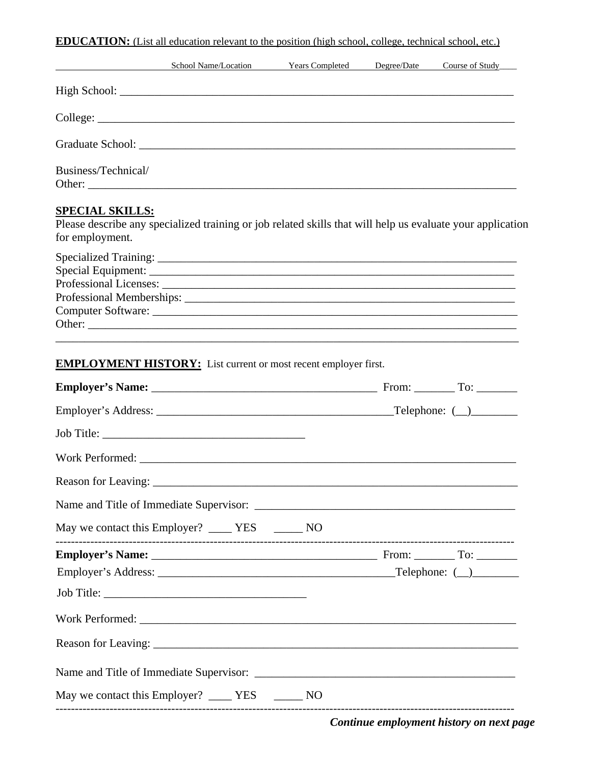**EDUCATION:** (List all education relevant to the position (high school, college, technical school, etc.)

|                                                                                                                                                         | School Name/Location Years Completed Degree/Date Course of Study |  |  |
|---------------------------------------------------------------------------------------------------------------------------------------------------------|------------------------------------------------------------------|--|--|
|                                                                                                                                                         |                                                                  |  |  |
|                                                                                                                                                         |                                                                  |  |  |
|                                                                                                                                                         |                                                                  |  |  |
| Business/Technical/                                                                                                                                     |                                                                  |  |  |
| <b>SPECIAL SKILLS:</b><br>Please describe any specialized training or job related skills that will help us evaluate your application<br>for employment. |                                                                  |  |  |
| Special Equipment:                                                                                                                                      |                                                                  |  |  |
| <b>EMPLOYMENT HISTORY:</b> List current or most recent employer first.                                                                                  |                                                                  |  |  |
|                                                                                                                                                         |                                                                  |  |  |
|                                                                                                                                                         |                                                                  |  |  |
|                                                                                                                                                         |                                                                  |  |  |
|                                                                                                                                                         |                                                                  |  |  |
|                                                                                                                                                         |                                                                  |  |  |
|                                                                                                                                                         |                                                                  |  |  |
| May we contact this Employer? _______ YES ________ NO                                                                                                   |                                                                  |  |  |
|                                                                                                                                                         |                                                                  |  |  |
|                                                                                                                                                         |                                                                  |  |  |
| Job Title:                                                                                                                                              |                                                                  |  |  |
|                                                                                                                                                         |                                                                  |  |  |
|                                                                                                                                                         |                                                                  |  |  |
|                                                                                                                                                         |                                                                  |  |  |
| May we contact this Employer? ________ YES _________ NO                                                                                                 |                                                                  |  |  |

*Continue employment history on next page*